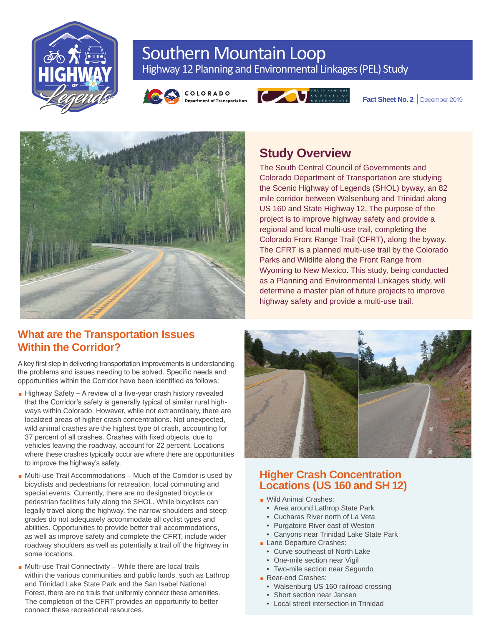

# Southern Mountain Loop Highway 12 Planning and Environmental Linkages (PEL) Study





Fact Sheet No. 2 | December 2019



# **Study Overview**

The South Central Council of Governments and Colorado Department of Transportation are studying the Scenic Highway of Legends (SHOL) byway, an 82 mile corridor between Walsenburg and Trinidad along US 160 and State Highway 12. The purpose of the project is to improve highway safety and provide a regional and local multi-use trail, completing the Colorado Front Range Trail (CFRT), along the byway. The CFRT is a planned multi-use trail by the Colorado Parks and Wildlife along the Front Range from Wyoming to New Mexico. This study, being conducted as a Planning and Environmental Linkages study, will determine a master plan of future projects to improve highway safety and provide a multi-use trail.

## **What are the Transportation Issues Within the Corridor?**

A key first step in delivering transportation improvements is understanding the problems and issues needing to be solved. Specific needs and opportunities within the Corridor have been identified as follows:

- $\blacksquare$  Highway Safety A review of a five-year crash history revealed that the Corridor's safety is generally typical of similar rural highways within Colorado. However, while not extraordinary, there are localized areas of higher crash concentrations. Not unexpected, wild animal crashes are the highest type of crash, accounting for 37 percent of all crashes. Crashes with fixed objects, due to vehicles leaving the roadway, account for 22 percent. Locations where these crashes typically occur are where there are opportunities to improve the highway's safety.
- $\blacksquare$  Multi-use Trail Accommodations Much of the Corridor is used by bicyclists and pedestrians for recreation, local commuting and special events. Currently, there are no designated bicycle or pedestrian facilities fully along the SHOL. While bicyclists can legally travel along the highway, the narrow shoulders and steep grades do not adequately accommodate all cyclist types and abilities. Opportunities to provide better trail accommodations, as well as improve safety and complete the CFRT, include wider roadway shoulders as well as potentially a trail off the highway in some locations.
- $\blacksquare$  Multi-use Trail Connectivity While there are local trails within the various communities and public lands, such as Lathrop and Trinidad Lake State Park and the San Isabel National Forest, there are no trails that uniformly connect these amenities. The completion of the CFRT provides an opportunity to better connect these recreational resources.



## **Higher Crash Concentration Locations (US 160 and SH 12)**

- **Nild Animal Crashes:** 
	- Area around Lathrop State Park
	- Cucharas River north of La Veta
	- Purgatoire River east of Weston
	- Canyons near Trinidad Lake State Park
- **Lane Departure Crashes:** 
	- Curve southeast of North Lake
	- One-mile section near Vigil
	- Two-mile section near Segundo
- Rear-end Crashes:
	- Walsenburg US 160 railroad crossing
	- Short section near Jansen
	- Local street intersection in Trinidad